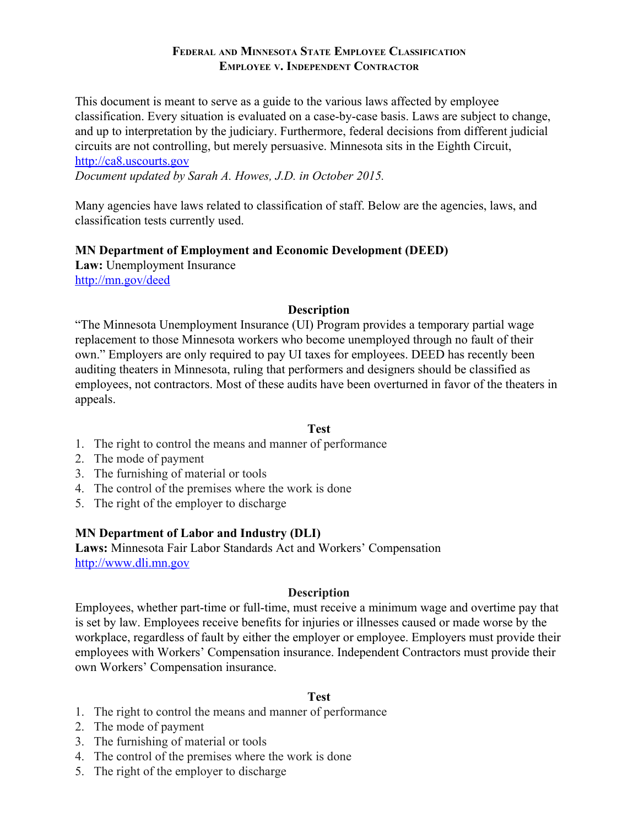This document is meant to serve as a guide to the various laws affected by employee classification. Every situation is evaluated on a case-by-case basis. Laws are subject to change, and up to interpretation by the judiciary. Furthermore, federal decisions from different judicial circuits are not controlling, but merely persuasive. Minnesota sits in the Eighth Circuit, http://ca8.uscourts.gov

Document updated by Sarah A. Howes, J.D. in October 2015.

Many agencies have laws related to classification of staff. Below are the agencies, laws, and classification tests currently used.

## MN Department of Employment and Economic Development (DEED)

Law: Unemployment Insurance http://mn.gov/deed

## **Description**

"The Minnesota Unemployment Insurance (UI) Program provides a temporary partial wage replacement to those Minnesota workers who become unemployed through no fault of their own." Employers are only required to pay UI taxes for employees. DEED has recently been auditing theaters in Minnesota, ruling that performers and designers should be classified as employees, not contractors. Most of these audits have been overturned in favor of the theaters in appeals.

## **Test**

- 1. The right to control the means and manner of performance
- 2. The mode of payment
- 3. The furnishing of material or tools
- 4. The control of the premises where the work is done
- 5. The right of the employer to discharge

## MN Department of Labor and Industry (DLI)

Laws: Minnesota Fair Labor Standards Act and Workers' Compensation http://www.dli.mn.gov

## **Description**

Employees, whether part-time or full-time, must receive a minimum wage and overtime pay that is set by law. Employees receive benefits for injuries or illnesses caused or made worse by the workplace, regardless of fault by either the employer or employee. Employers must provide their employees with Workers' Compensation insurance. Independent Contractors must provide their own Workers' Compensation insurance.

## **Test**

- 1. The right to control the means and manner of performance
- 2. The mode of payment
- 3. The furnishing of material or tools
- 4. The control of the premises where the work is done
- 5. The right of the employer to discharge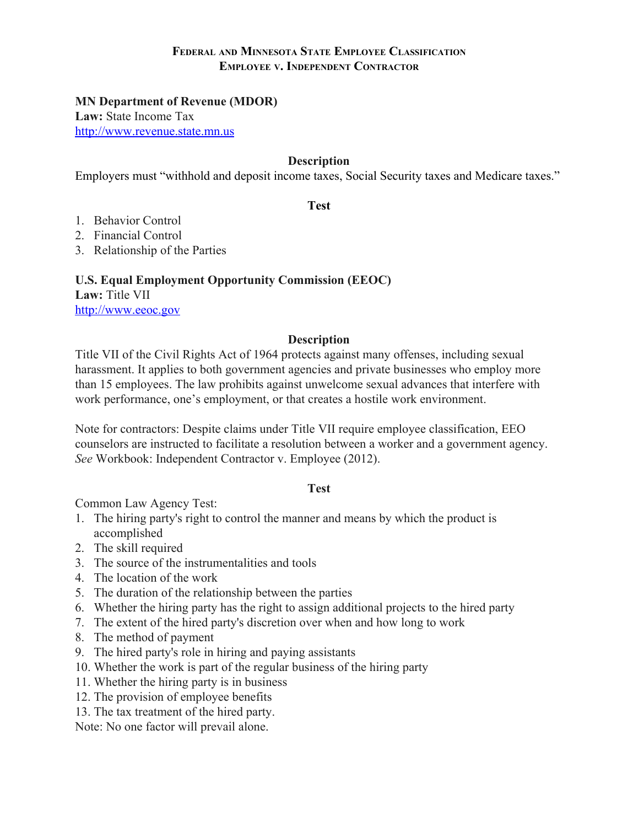#### **MN Department of Revenue (MDOR)**

Law: State Income Tax http://www.revenue.state.mn.us

## **Description**

Employers must "withhold and deposit income taxes, Social Security taxes and Medicare taxes."

#### **Test**

- 1 Behavior Control
- 2. Financial Control
- 3. Relationship of the Parties

#### **U.S. Equal Employment Opportunity Commission (EEOC)**

Law: Title VII http://www.eeoc.gov

#### **Description**

Title VII of the Civil Rights Act of 1964 protects against many offenses, including sexual harassment. It applies to both government agencies and private businesses who employ more than 15 employees. The law prohibits against unwelcome sexual advances that interfere with work performance, one's employment, or that creates a hostile work environment.

Note for contractors: Despite claims under Title VII require employee classification, EEO counselors are instructed to facilitate a resolution between a worker and a government agency. See Workbook: Independent Contractor v. Employee (2012).

#### **Test**

Common Law Agency Test:

- 1. The hiring party's right to control the manner and means by which the product is accomplished
- 2. The skill required
- 3. The source of the instrumentalities and tools
- 4. The location of the work
- 5. The duration of the relationship between the parties
- 6. Whether the hiring party has the right to assign additional projects to the hired party
- 7. The extent of the hired party's discretion over when and how long to work
- 8. The method of payment
- 9. The hired party's role in hiring and paying assistants
- 10. Whether the work is part of the regular business of the hiring party
- 11. Whether the hiring party is in business
- 12. The provision of employee benefits
- 13. The tax treatment of the hired party.

Note: No one factor will prevail alone.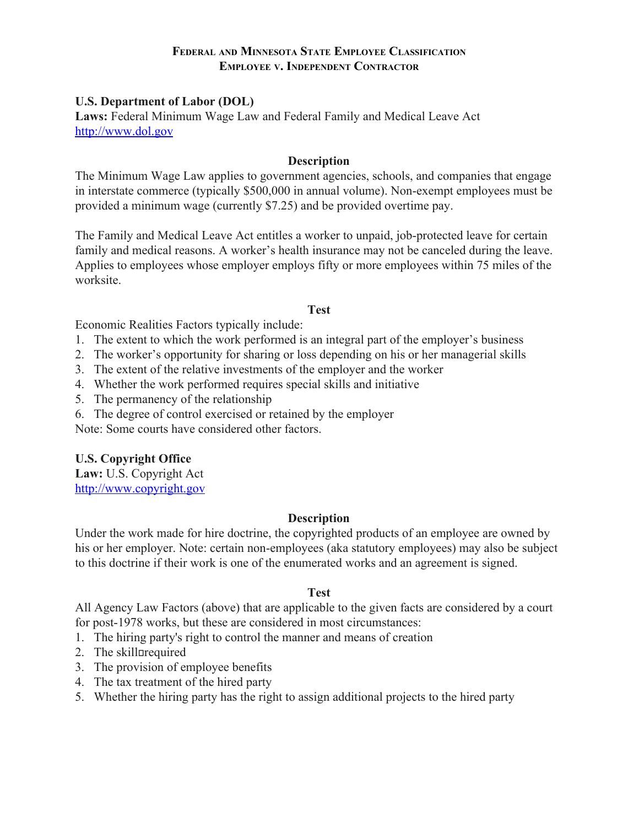## **U.S. Department of Labor (DOL)**

Laws: Federal Minimum Wage Law and Federal Family and Medical Leave Act http://www.dol.gov

#### **Description**

The Minimum Wage Law applies to government agencies, schools, and companies that engage in interstate commerce (typically \$500,000 in annual volume). Non-exempt employees must be provided a minimum wage (currently \$7.25) and be provided overtime pay.

The Family and Medical Leave Act entitles a worker to unpaid, job-protected leave for certain family and medical reasons. A worker's health insurance may not be canceled during the leave. Applies to employees whose employer employs fifty or more employees within 75 miles of the worksite.

#### **Test**

Economic Realities Factors typically include:

- 1. The extent to which the work performed is an integral part of the employer's business
- 2. The worker's opportunity for sharing or loss depending on his or her managerial skills
- 3. The extent of the relative investments of the employer and the worker
- 4. Whether the work performed requires special skills and initiative
- 5. The permanency of the relationship
- 6. The degree of control exercised or retained by the employer

Note: Some courts have considered other factors.

## **U.S. Copyright Office**

Law: U.S. Copyright Act http://www.copyright.gov

## **Description**

Under the work made for hire doctrine, the copyrighted products of an employee are owned by his or her employer. Note: certain non-employees (aka statutory employees) may also be subject to this doctrine if their work is one of the enumerated works and an agreement is signed.

## **Test**

All Agency Law Factors (above) that are applicable to the given facts are considered by a court for post-1978 works, but these are considered in most circumstances:

- 1. The hiring party's right to control the manner and means of creation
- 2. The skill prequired
- 3. The provision of employee benefits
- 4. The tax treatment of the hired party
- 5. Whether the hiring party has the right to assign additional projects to the hired party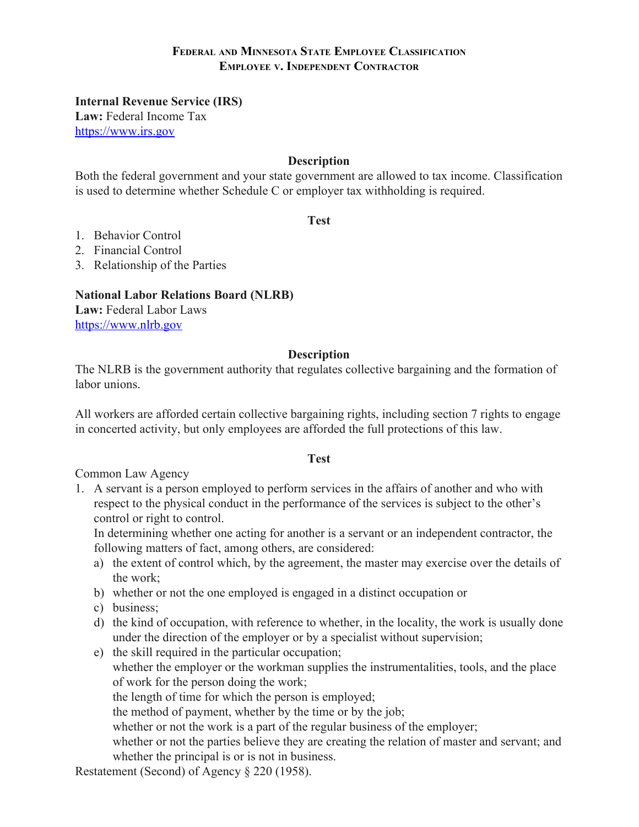**Internal Revenue Service (IRS)** 

Law: Federal Income Tax https://www.irs.gov

# **Description**

Both the federal government and your state government are allowed to tax income. Classification is used to determine whether Schedule C or employer tax withholding is required.

**Test** 

- 1. Behavior Control
- 2. Financial Control
- 3. Relationship of the Parties

## **National Labor Relations Board (NLRB)**

Law: Federal Labor Laws https://www.nlrb.gov

## **Description**

The NLRB is the government authority that regulates collective bargaining and the formation of labor unions

All workers are afforded certain collective bargaining rights, including section 7 rights to engage in concerted activity, but only employees are afforded the full protections of this law.

## **Test**

Common Law Agency

1. A servant is a person employed to perform services in the affairs of another and who with respect to the physical conduct in the performance of the services is subject to the other's control or right to control.

In determining whether one acting for another is a servant or an independent contractor, the following matters of fact, among others, are considered:

- a) the extent of control which, by the agreement, the master may exercise over the details of the work:
- b) whether or not the one employed is engaged in a distinct occupation or
- c) business;
- d) the kind of occupation, with reference to whether, in the locality, the work is usually done under the direction of the employer or by a specialist without supervision;
- e) the skill required in the particular occupation; whether the employer or the workman supplies the instrumentalities, tools, and the place of work for the person doing the work; the length of time for which the person is employed; the method of payment, whether by the time or by the job; whether or not the work is a part of the regular business of the employer; whether or not the parties believe they are creating the relation of master and servant; and whether the principal is or is not in business.

Restatement (Second) of Agency § 220 (1958).